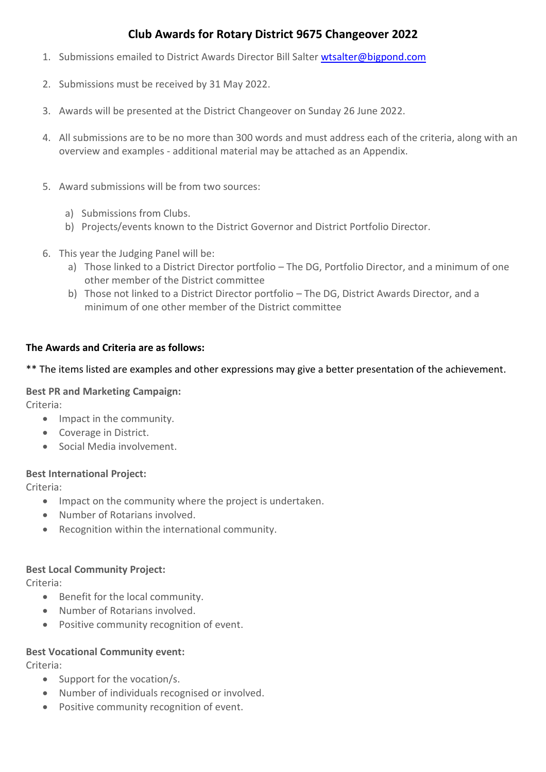# **Club Awards for Rotary District 9675 Changeover 2022**

- 1. Submissions emailed to District Awards Director Bill Salter [wtsalter@bigpond.com](mailto:wtsalter@bigpond.com)
- 2. Submissions must be received by 31 May 2022.
- 3. Awards will be presented at the District Changeover on Sunday 26 June 2022.
- 4. All submissions are to be no more than 300 words and must address each of the criteria, along with an overview and examples - additional material may be attached as an Appendix.
- 5. Award submissions will be from two sources:
	- a) Submissions from Clubs.
	- b) Projects/events known to the District Governor and District Portfolio Director.
- 6. This year the Judging Panel will be:
	- a) Those linked to a District Director portfolio The DG, Portfolio Director, and a minimum of one other member of the District committee
	- b) Those not linked to a District Director portfolio The DG, District Awards Director, and a minimum of one other member of the District committee

## **The Awards and Criteria are as follows:**

### \*\* The items listed are examples and other expressions may give a better presentation of the achievement.

#### **Best PR and Marketing Campaign:**

Criteria:

- Impact in the community.
- Coverage in District.
- Social Media involvement.

#### **Best International Project:**

Criteria:

- Impact on the community where the project is undertaken.
- Number of Rotarians involved.
- Recognition within the international community.

#### **Best Local Community Project:**

Criteria:

- Benefit for the local community.
- Number of Rotarians involved.
- Positive community recognition of event.

#### **Best Vocational Community event:**

Criteria:

- Support for the vocation/s.
- Number of individuals recognised or involved.
- Positive community recognition of event.